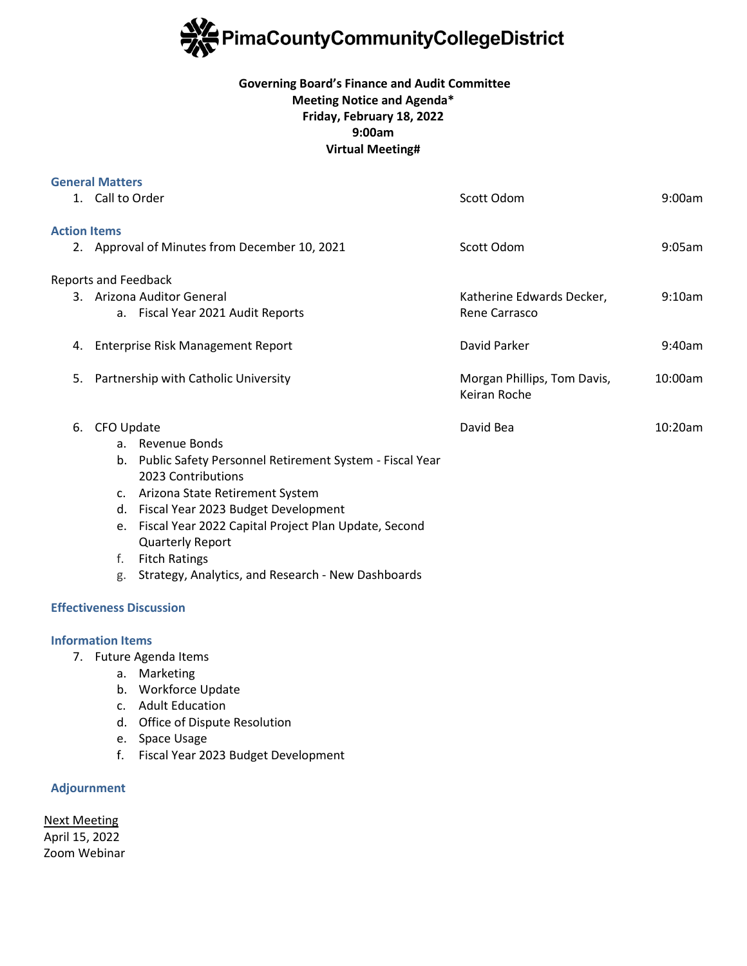

# **Governing Board's Finance and Audit Committee Meeting Notice and Agenda\* Friday, February 18, 2022 9:00am Virtual Meeting#**

|                     | <b>General Matters</b>                        |                                                         |                             |         |
|---------------------|-----------------------------------------------|---------------------------------------------------------|-----------------------------|---------|
|                     | 1. Call to Order                              |                                                         | Scott Odom                  | 9:00am  |
| <b>Action Items</b> |                                               |                                                         |                             |         |
|                     | 2. Approval of Minutes from December 10, 2021 |                                                         | Scott Odom                  | 9:05am  |
|                     | <b>Reports and Feedback</b>                   |                                                         |                             |         |
|                     | 3. Arizona Auditor General                    |                                                         | Katherine Edwards Decker,   | 9:10am  |
|                     |                                               | a. Fiscal Year 2021 Audit Reports                       | Rene Carrasco               |         |
| 4.                  | Enterprise Risk Management Report             |                                                         | David Parker                | 9:40am  |
| 5.                  | Partnership with Catholic University          |                                                         | Morgan Phillips, Tom Davis, | 10:00am |
|                     |                                               |                                                         | Keiran Roche                |         |
| 6.                  | CFO Update                                    |                                                         | David Bea                   | 10:20am |
|                     |                                               | a. Revenue Bonds                                        |                             |         |
|                     | b.                                            | Public Safety Personnel Retirement System - Fiscal Year |                             |         |
|                     |                                               | 2023 Contributions                                      |                             |         |
|                     |                                               | c. Arizona State Retirement System                      |                             |         |
|                     |                                               | d. Fiscal Year 2023 Budget Development                  |                             |         |
|                     | e.                                            | Fiscal Year 2022 Capital Project Plan Update, Second    |                             |         |
|                     |                                               | <b>Quarterly Report</b>                                 |                             |         |
|                     | f.                                            | <b>Fitch Ratings</b>                                    |                             |         |
|                     | g.                                            | Strategy, Analytics, and Research - New Dashboards      |                             |         |

### **Effectiveness Discussion**

### **Information Items**

- 7. Future Agenda Items
	- a. Marketing
	- b. Workforce Update
	- c. Adult Education
	- d. Office of Dispute Resolution
	- e. Space Usage
	- f. Fiscal Year 2023 Budget Development

# **Adjournment**

Next Meeting April 15, 2022 Zoom Webinar